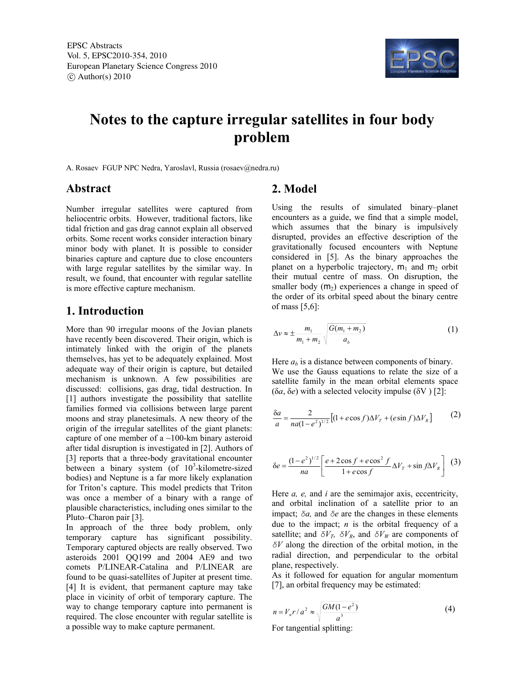

# **Notes to the capture irregular satellites in four body problem**

A. Rosaev FGUP NPC Nedra, Yaroslavl, Russia (rosaev@nedra.ru)

#### **Abstract**

Number irregular satellites were captured from heliocentric orbits. However, traditional factors, like tidal friction and gas drag cannot explain all observed orbits. Some recent works consider interaction binary minor body with planet. It is possible to consider binaries capture and capture due to close encounters with large regular satellites by the similar way. In result, we found, that encounter with regular satellite is more effective capture mechanism.

### **1. Introduction**

More than 90 irregular moons of the Jovian planets have recently been discovered. Their origin, which is intimately linked with the origin of the planets themselves, has yet to be adequately explained. Most adequate way of their origin is capture, but detailed mechanism is unknown. A few possibilities are discussed: collisions, gas drag, tidal destruction. In [1] authors investigate the possibility that satellite families formed via collisions between large parent moons and stray planetesimals. A new theory of the origin of the irregular satellites of the giant planets: capture of one member of a  $\sim$ 100-km binary asteroid after tidal disruption is investigated in [2]. Authors of [3] reports that a three-body gravitational encounter between a binary system (of  $10^3$ -kilometre-sized bodies) and Neptune is a far more likely explanation for Triton's capture. This model predicts that Triton was once a member of a binary with a range of plausible characteristics, including ones similar to the Pluto–Charon pair [3].

In approach of the three body problem, only temporary capture has significant possibility. Temporary captured objects are really observed. Two asteroids 2001 QQ199 and 2004 AE9 and two comets P/LINEAR-Catalina and P/LINEAR are found to be quasi-satellites of Jupiter at present time. [4] It is evident, that permanent capture may take place in vicinity of orbit of temporary capture. The way to change temporary capture into permanent is required. The close encounter with regular satellite is a possible way to make capture permanent.

# **2. Model**

Using the results of simulated binary–planet encounters as a guide, we find that a simple model, which assumes that the binary is impulsively disrupted, provides an effective description of the gravitationally focused encounters with Neptune considered in [5]. As the binary approaches the planet on a hyperbolic trajectory,  $m_1$  and  $m_2$  orbit their mutual centre of mass. On disruption, the smaller body  $(m_2)$  experiences a change in speed of the order of its orbital speed about the binary centre of mass [5,6]:

$$
\Delta v \approx \pm \frac{m_1}{m_1 + m_2} \sqrt{\frac{G(m_1 + m_2)}{a_b}}
$$
 (1)

Here  $a<sub>b</sub>$  is a distance between components of binary. We use the Gauss equations to relate the size of a satellite family in the mean orbital elements space ( $\delta a$ ,  $\delta e$ ) with a selected velocity impulse ( $\delta V$ ) [2]:

$$
\frac{\delta a}{a} = \frac{2}{na(1 - e^2)^{1/2}} \left[ (1 + e \cos f) \Delta V_T + (e \sin f) \Delta V_R \right] \tag{2}
$$

$$
\delta e = \frac{(1 - e^2)^{1/2}}{na} \left[ \frac{e + 2\cos f + e\cos^2 f}{1 + e\cos f} \Delta V_T + \sin f \Delta V_R \right] \tag{3}
$$

Here *a, e,* and *i* are the semimajor axis, eccentricity, and orbital inclination of a satellite prior to an impact; *δa,* and *δe* are the changes in these elements due to the impact;  $n$  is the orbital frequency of a satellite; and  $\delta V_T$ ,  $\delta V_R$ , and  $\delta V_W$  are components of *δV* along the direction of the orbital motion, in the radial direction, and perpendicular to the orbital plane, respectively.

As it followed for equation for angular momentum [7], an orbital frequency may be estimated:

$$
n = V_n r / a^2 \approx \sqrt{\frac{GM(1 - e^2)}{a^3}}
$$
 (4)  
For tangential splitting: